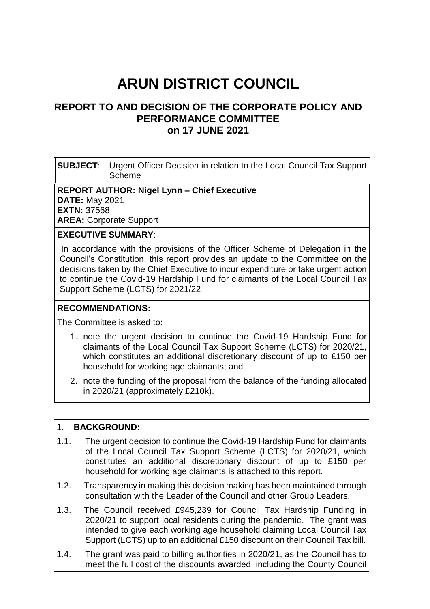# **ARUN DISTRICT COUNCIL**

# **REPORT TO AND DECISION OF THE CORPORATE POLICY AND PERFORMANCE COMMITTEE on 17 JUNE 2021**

**SUBJECT**: Urgent Officer Decision in relation to the Local Council Tax Support Scheme

#### **REPORT AUTHOR: Nigel Lynn – Chief Executive DATE:** May 2021

**EXTN:** 37568

**AREA:** Corporate Support

## **EXECUTIVE SUMMARY**:

 In accordance with the provisions of the Officer Scheme of Delegation in the Council's Constitution, this report provides an update to the Committee on the decisions taken by the Chief Executive to incur expenditure or take urgent action to continue the Covid-19 Hardship Fund for claimants of the Local Council Tax Support Scheme (LCTS) for 2021/22

#### **RECOMMENDATIONS:**

The Committee is asked to:

- 1. note the urgent decision to continue the Covid-19 Hardship Fund for claimants of the Local Council Tax Support Scheme (LCTS) for 2020/21, which constitutes an additional discretionary discount of up to £150 per household for working age claimants; and
- 2. note the funding of the proposal from the balance of the funding allocated in 2020/21 (approximately £210k).

#### 1. **BACKGROUND:**

- 1.1. The urgent decision to continue the Covid-19 Hardship Fund for claimants of the Local Council Tax Support Scheme (LCTS) for 2020/21, which constitutes an additional discretionary discount of up to £150 per household for working age claimants is attached to this report.
- 1.2. Transparency in making this decision making has been maintained through consultation with the Leader of the Council and other Group Leaders.
- 1.3. The Council received £945,239 for Council Tax Hardship Funding in 2020/21 to support local residents during the pandemic. The grant was intended to give each working age household claiming Local Council Tax Support (LCTS) up to an additional £150 discount on their Council Tax bill.
- 1.4. The grant was paid to billing authorities in 2020/21, as the Council has to meet the full cost of the discounts awarded, including the County Council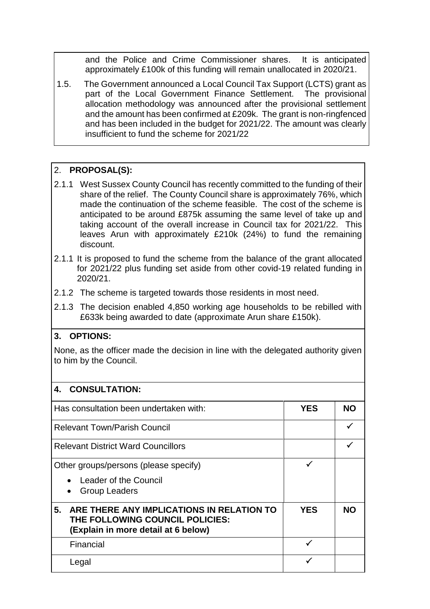and the Police and Crime Commissioner shares. It is anticipated approximately £100k of this funding will remain unallocated in 2020/21.

1.5. The Government announced a Local Council Tax Support (LCTS) grant as part of the Local Government Finance Settlement. The provisional allocation methodology was announced after the provisional settlement and the amount has been confirmed at £209k. The grant is non-ringfenced and has been included in the budget for 2021/22. The amount was clearly insufficient to fund the scheme for 2021/22

## 2. **PROPOSAL(S):**

- 2.1.1 West Sussex County Council has recently committed to the funding of their share of the relief. The County Council share is approximately 76%, which made the continuation of the scheme feasible. The cost of the scheme is anticipated to be around £875k assuming the same level of take up and taking account of the overall increase in Council tax for 2021/22. This leaves Arun with approximately £210k (24%) to fund the remaining discount.
- 2.1.1 It is proposed to fund the scheme from the balance of the grant allocated for 2021/22 plus funding set aside from other covid-19 related funding in 2020/21.
- 2.1.2 The scheme is targeted towards those residents in most need.
- 2.1.3 The decision enabled 4,850 working age households to be rebilled with £633k being awarded to date (approximate Arun share £150k).

## **3. OPTIONS:**

None, as the officer made the decision in line with the delegated authority given to him by the Council.

| <b>CONSULTATION:</b>                                                                                                      |            |           |
|---------------------------------------------------------------------------------------------------------------------------|------------|-----------|
| Has consultation been undertaken with:                                                                                    | <b>YES</b> | NO.       |
| <b>Relevant Town/Parish Council</b>                                                                                       |            |           |
| <b>Relevant District Ward Councillors</b>                                                                                 |            |           |
| Other groups/persons (please specify)                                                                                     |            |           |
| Leader of the Council<br><b>Group Leaders</b>                                                                             |            |           |
| ARE THERE ANY IMPLICATIONS IN RELATION TO<br>5.<br>THE FOLLOWING COUNCIL POLICIES:<br>(Explain in more detail at 6 below) | <b>YES</b> | <b>NO</b> |
| Financial                                                                                                                 |            |           |
| Legal                                                                                                                     |            |           |